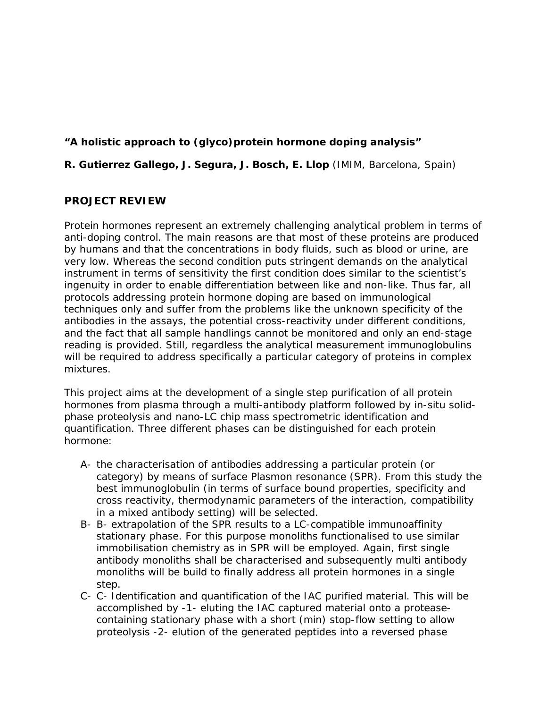## **"A holistic approach to (glyco)protein hormone doping analysis"**

## **R. Gutierrez Gallego, J. Segura, J. Bosch, E. Llop** (IMIM, Barcelona, Spain)

## **PROJECT REVIEW**

Protein hormones represent an extremely challenging analytical problem in terms of anti-doping control. The main reasons are that most of these proteins are produced by humans and that the concentrations in body fluids, such as blood or urine, are very low. Whereas the second condition puts stringent demands on the analytical instrument in terms of sensitivity the first condition does similar to the scientist's ingenuity in order to enable differentiation between like and non-like. Thus far, all protocols addressing protein hormone doping are based on immunological techniques only and suffer from the problems like the unknown specificity of the antibodies in the assays, the potential cross-reactivity under different conditions, and the fact that all sample handlings cannot be monitored and only an end-stage reading is provided. Still, regardless the analytical measurement immunoglobulins will be required to address specifically a particular category of proteins in complex mixtures.

This project aims at the development of a single step purification of all protein hormones from plasma through a multi-antibody platform followed by in-situ solidphase proteolysis and nano-LC chip mass spectrometric identification and quantification. Three different phases can be distinguished for each protein hormone:

- A- the characterisation of antibodies addressing a particular protein (or category) by means of surface Plasmon resonance (SPR). From this study the best immunoglobulin (in terms of surface bound properties, specificity and cross reactivity, thermodynamic parameters of the interaction, compatibility in a mixed antibody setting) will be selected.
- B- B- extrapolation of the SPR results to a LC-compatible immunoaffinity stationary phase. For this purpose monoliths functionalised to use similar immobilisation chemistry as in SPR will be employed. Again, first single antibody monoliths shall be characterised and subsequently multi antibody monoliths will be build to finally address all protein hormones in a single step.
- C- C- Identification and quantification of the IAC purified material. This will be accomplished by -1- eluting the IAC captured material onto a proteasecontaining stationary phase with a short (min) stop-flow setting to allow proteolysis -2- elution of the generated peptides into a reversed phase